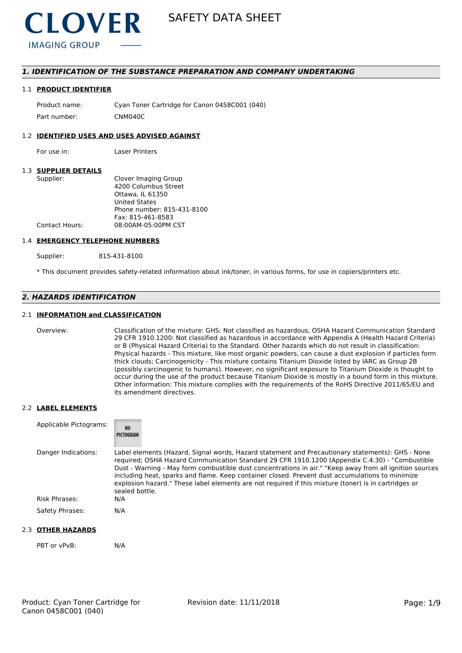

# *1. IDENTIFICATION OF THE SUBSTANCE PREPARATION AND COMPANY UNDERTAKING*

#### 1.1 **PRODUCT IDENTIFIER**

Product name: Cyan Toner Cartridge for Canon 0458C001 (040) Part number: CNM040C

#### 1.2 **IDENTIFIED USES AND USES ADVISED AGAINST**

For use in: Laser Printers

#### 1.3 **SUPPLIER DETAILS**

| Supplier:      | Clover Imaging Group       |
|----------------|----------------------------|
|                | 4200 Columbus Street       |
|                | Ottawa. IL 61350           |
|                | <b>United States</b>       |
|                | Phone number: 815-431-8100 |
|                | Fax: 815-461-8583          |
| Contact Hours: | 08:00AM-05:00PM CST        |
|                |                            |

#### 1.4 **EMERGENCY TELEPHONE NUMBERS**

Supplier: 815-431-8100

\* This document provides safety-related information about ink/toner, in various forms, for use in copiers/printers etc.

# *2. HAZARDS IDENTIFICATION*

### 2.1 **INFORMATION and CLASSIFICATION**

Overview: Classification of the mixture: GHS: Not classified as hazardous, OSHA Hazard Communication Standard 29 CFR 1910.1200: Not classified as hazardous in accordance with Appendix A (Health Hazard Criteria) or B (Physical Hazard Criteria) to the Standard. Other hazards which do not result in classification: Physical hazards - This mixture, like most organic powders, can cause a dust explosion if particles form thick clouds; Carcinogenicity - This mixture contains Titanium Dioxide listed by IARC as Group 2B (possibly carcinogenic to humans). However, no significant exposure to Titanium Dioxide is thought to occur during the use of the product because Titanium Dioxide is mostly in a bound form in this mixture. Other information: This mixture complies with the requirements of the RoHS Directive 2011/65/EU and its amendment directives.

#### 2.2 **LABEL ELEMENTS**

| Applicable Pictograms: | <b>NO</b><br>PICTOGRAM                                                                                                                                                                                                                                                                                                                                                                                                                                                                                                                     |
|------------------------|--------------------------------------------------------------------------------------------------------------------------------------------------------------------------------------------------------------------------------------------------------------------------------------------------------------------------------------------------------------------------------------------------------------------------------------------------------------------------------------------------------------------------------------------|
| Danger Indications:    | Label elements (Hazard, Signal words, Hazard statement and Precautionary statements): GHS - None<br>required; OSHA Hazard Communication Standard 29 CFR 1910.1200 (Appendix C.4.30) - "Combustible<br>Dust - Warning - May form combustible dust concentrations in air." "Keep away from all ignition sources<br>including heat, sparks and flame. Keep container closed. Prevent dust accumulations to minimize<br>explosion hazard." These label elements are not required if this mixture (toner) is in cartridges or<br>sealed bottle. |
| Risk Phrases:          | N/A                                                                                                                                                                                                                                                                                                                                                                                                                                                                                                                                        |
| Safety Phrases:        | N/A                                                                                                                                                                                                                                                                                                                                                                                                                                                                                                                                        |

### 2.3 **OTHER HAZARDS**

PBT or vPvB: N/A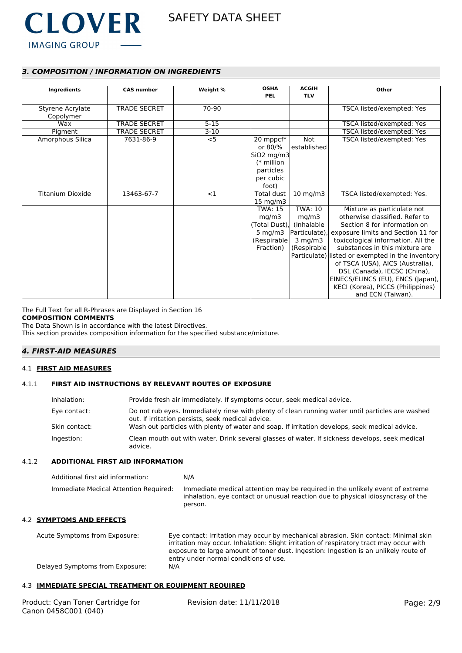

# *3. COMPOSITION / INFORMATION ON INGREDIENTS*

| <b>Ingredients</b>      | <b>CAS number</b>   | Weight % | <b>OSHA</b>                 | <b>ACGIH</b>      | Other                                            |
|-------------------------|---------------------|----------|-----------------------------|-------------------|--------------------------------------------------|
|                         |                     |          | <b>PEL</b>                  | <b>TLV</b>        |                                                  |
| Styrene Acrylate        | <b>TRADE SECRET</b> | 70-90    |                             |                   | TSCA listed/exempted: Yes                        |
| Copolymer               |                     |          |                             |                   |                                                  |
| Wax                     | <b>TRADE SECRET</b> | $5 - 15$ |                             |                   | TSCA listed/exempted: Yes                        |
| Pigment                 | TRADE SECRET        | $3-10$   |                             |                   | TSCA listed/exempted: Yes                        |
| Amorphous Silica        | 7631-86-9           | $<$ 5    | 20 mppcf*                   | Not               | TSCA listed/exempted: Yes                        |
|                         |                     |          | or 80/%                     | established       |                                                  |
|                         |                     |          | $\left  5iO2 \right $ mg/m3 |                   |                                                  |
|                         |                     |          | (* million                  |                   |                                                  |
|                         |                     |          | particles                   |                   |                                                  |
|                         |                     |          | per cubic                   |                   |                                                  |
|                         |                     |          | foot)                       |                   |                                                  |
| <b>Titanium Dioxide</b> | 13463-67-7          | <1       | Total dust                  | $10 \text{ mg/m}$ | TSCA listed/exempted: Yes.                       |
|                         |                     |          | $15 \text{ mg/m}$           |                   |                                                  |
|                         |                     |          | <b>TWA: 15</b>              | <b>TWA: 10</b>    | Mixture as particulate not                       |
|                         |                     |          | mg/m3                       | mg/m3             | otherwise classified. Refer to                   |
|                         |                     |          | (Total Dust),               | (Inhalable)       | Section 8 for information on                     |
|                         |                     |          | 5 mg/m $3$                  | Particulate)      | exposure limits and Section 11 for               |
|                         |                     |          | (Respirable)                | $3$ mg/m $3$      | toxicological information. All the               |
|                         |                     |          | Fraction)                   | (Respirable       | substances in this mixture are                   |
|                         |                     |          |                             |                   | Particulate) listed or exempted in the inventory |
|                         |                     |          |                             |                   | of TSCA (USA), AICS (Australia),                 |
|                         |                     |          |                             |                   | DSL (Canada), IECSC (China),                     |
|                         |                     |          |                             |                   | EINECS/ELINCS (EU), ENCS (Japan),                |
|                         |                     |          |                             |                   | KECI (Korea), PICCS (Philippines)                |
|                         |                     |          |                             |                   | and ECN (Taiwan).                                |

The Full Text for all R-Phrases are Displayed in Section 16 **COMPOSITION COMMENTS**

The Data Shown is in accordance with the latest Directives. This section provides composition information for the specified substance/mixture.

# *4. FIRST-AID MEASURES*

# 4.1 **FIRST AID MEASURES**

# 4.1.1 **FIRST AID INSTRUCTIONS BY RELEVANT ROUTES OF EXPOSURE**

| Inhalation:   | Provide fresh air immediately. If symptoms occur, seek medical advice.                                                                                |
|---------------|-------------------------------------------------------------------------------------------------------------------------------------------------------|
| Eye contact:  | Do not rub eyes. Immediately rinse with plenty of clean running water until particles are washed<br>out. If irritation persists, seek medical advice. |
| Skin contact: | Wash out particles with plenty of water and soap. If irritation develops, seek medical advice.                                                        |
| Ingestion:    | Clean mouth out with water. Drink several glasses of water. If sickness develops, seek medical<br>advice.                                             |

# 4.1.2 **ADDITIONAL FIRST AID INFORMATION**

| Additional first aid information:     | N/A                                                                                                                                                                        |
|---------------------------------------|----------------------------------------------------------------------------------------------------------------------------------------------------------------------------|
| Immediate Medical Attention Required: | Immediate medical attention may be required in the unlikely event of extreme<br>inhalation, eye contact or unusual reaction due to physical idiosyncrasy of the<br>person. |

#### 4.2 **SYMPTOMS AND EFFECTS**

| Acute Symptoms from Exposure:   | Eye contact: Irritation may occur by mechanical abrasion. Skin contact: Minimal skin    |
|---------------------------------|-----------------------------------------------------------------------------------------|
|                                 | irritation may occur. Inhalation: Slight irritation of respiratory tract may occur with |
|                                 | exposure to large amount of toner dust. Ingestion: Ingestion is an unlikely route of    |
|                                 | entry under normal conditions of use.                                                   |
| Delayed Symptoms from Exposure: | N/A                                                                                     |

#### 4.3 **IMMEDIATE SPECIAL TREATMENT OR EQUIPMENT REQUIRED**

| Product: Cyan Toner Cartridge for | Revision date: 11/11/2018 | Page: 2/9 |
|-----------------------------------|---------------------------|-----------|
| Canon 0458C001 (040)              |                           |           |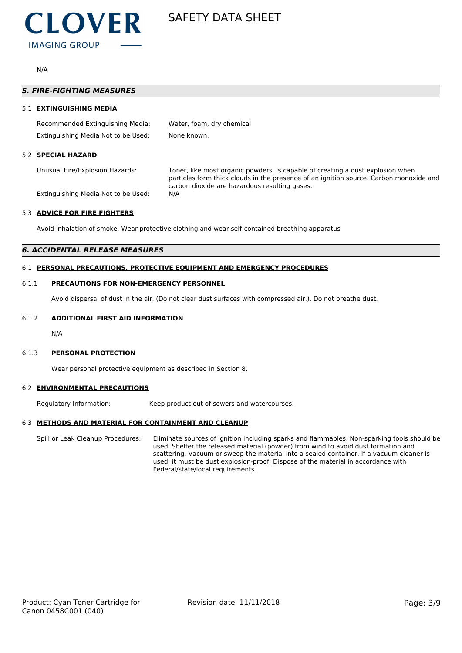

N/A

|     | <b>5. FIRE-FIGHTING MEASURES</b>    |                                                                                                                                                                                                                           |
|-----|-------------------------------------|---------------------------------------------------------------------------------------------------------------------------------------------------------------------------------------------------------------------------|
| 51. | <b>EXTINGUISHING MEDIA</b>          |                                                                                                                                                                                                                           |
|     | Recommended Extinguishing Media:    | Water, foam, dry chemical                                                                                                                                                                                                 |
|     | Extinguishing Media Not to be Used: | None known.                                                                                                                                                                                                               |
| 52  | <b>SPECIAL HAZARD</b>               |                                                                                                                                                                                                                           |
|     | Unusual Fire/Explosion Hazards:     | Toner, like most organic powders, is capable of creating a dust explosion when<br>particles form thick clouds in the presence of an ignition source. Carbon monoxide and<br>carbon dioxide are hazardous resulting gases. |
|     | Extinguishing Media Not to be Used: | N/A                                                                                                                                                                                                                       |

### 5.3 **ADVICE FOR FIRE FIGHTERS**

Avoid inhalation of smoke. Wear protective clothing and wear self-contained breathing apparatus

# *6. ACCIDENTAL RELEASE MEASURES*

#### 6.1 **PERSONAL PRECAUTIONS, PROTECTIVE EQUIPMENT AND EMERGENCY PROCEDURES**

#### 6.1.1 **PRECAUTIONS FOR NON-EMERGENCY PERSONNEL**

Avoid dispersal of dust in the air. (Do not clear dust surfaces with compressed air.). Do not breathe dust.

# 6.1.2 **ADDITIONAL FIRST AID INFORMATION**

N/A

# 6.1.3 **PERSONAL PROTECTION**

Wear personal protective equipment as described in Section 8.

# 6.2 **ENVIRONMENTAL PRECAUTIONS**

Regulatory Information: Keep product out of sewers and watercourses.

# 6.3 **METHODS AND MATERIAL FOR CONTAINMENT AND CLEANUP**

Spill or Leak Cleanup Procedures: Eliminate sources of ignition including sparks and flammables. Non-sparking tools should be used. Shelter the released material (powder) from wind to avoid dust formation and scattering. Vacuum or sweep the material into a sealed container. If a vacuum cleaner is used, it must be dust explosion-proof. Dispose of the material in accordance with Federal/state/local requirements.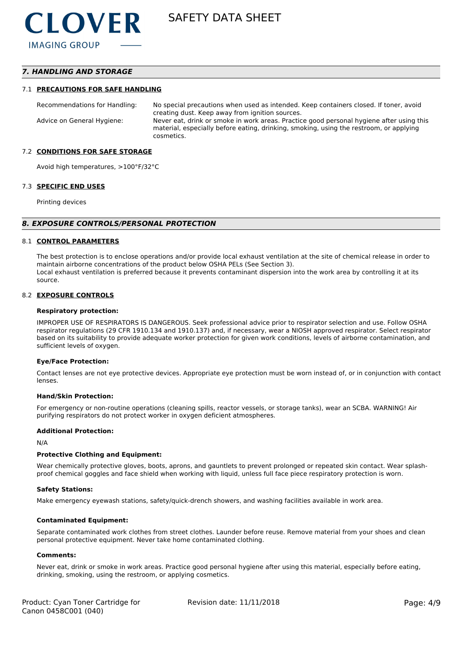# *7. HANDLING AND STORAGE*

#### 7.1 **PRECAUTIONS FOR SAFE HANDLING**

Recommendations for Handling: No special precautions when used as intended. Keep containers closed. If toner, avoid creating dust. Keep away from ignition sources. Advice on General Hygiene: Never eat, drink or smoke in work areas. Practice good personal hygiene after using this material, especially before eating, drinking, smoking, using the restroom, or applying cosmetics.

#### 7.2 **CONDITIONS FOR SAFE STORAGE**

Avoid high temperatures, >100°F/32°C

#### 7.3 **SPECIFIC END USES**

Printing devices

#### *8. EXPOSURE CONTROLS/PERSONAL PROTECTION*

#### 8.1 **CONTROL PARAMETERS**

The best protection is to enclose operations and/or provide local exhaust ventilation at the site of chemical release in order to maintain airborne concentrations of the product below OSHA PELs (See Section 3). Local exhaust ventilation is preferred because it prevents contaminant dispersion into the work area by controlling it at its source.

#### 8.2 **EXPOSURE CONTROLS**

#### **Respiratory protection:**

IMPROPER USE OF RESPIRATORS IS DANGEROUS. Seek professional advice prior to respirator selection and use. Follow OSHA respirator regulations (29 CFR 1910.134 and 1910.137) and, if necessary, wear a NIOSH approved respirator. Select respirator based on its suitability to provide adequate worker protection for given work conditions, levels of airborne contamination, and sufficient levels of oxygen.

#### **Eye/Face Protection:**

Contact lenses are not eye protective devices. Appropriate eye protection must be worn instead of, or in conjunction with contact lenses.

#### **Hand/Skin Protection:**

For emergency or non-routine operations (cleaning spills, reactor vessels, or storage tanks), wear an SCBA. WARNING! Air purifying respirators do not protect worker in oxygen deficient atmospheres.

### **Additional Protection:**

N/A

#### **Protective Clothing and Equipment:**

Wear chemically protective gloves, boots, aprons, and gauntlets to prevent prolonged or repeated skin contact. Wear splashproof chemical goggles and face shield when working with liquid, unless full face piece respiratory protection is worn.

#### **Safety Stations:**

Make emergency eyewash stations, safety/quick-drench showers, and washing facilities available in work area.

#### **Contaminated Equipment:**

Separate contaminated work clothes from street clothes. Launder before reuse. Remove material from your shoes and clean personal protective equipment. Never take home contaminated clothing.

#### **Comments:**

Never eat, drink or smoke in work areas. Practice good personal hygiene after using this material, especially before eating, drinking, smoking, using the restroom, or applying cosmetics.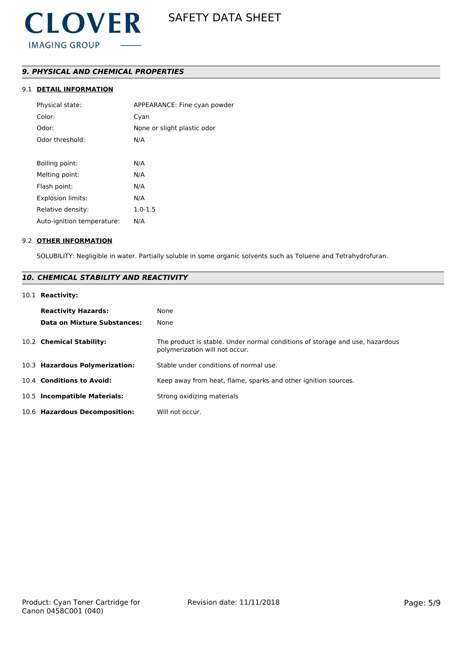# *9. PHYSICAL AND CHEMICAL PROPERTIES*

# 9.1 **DETAIL INFORMATION**

| Physical state:            | APPEARANCE: Fine cyan powder |
|----------------------------|------------------------------|
| Color:                     | Cyan                         |
| Odor:                      | None or slight plastic odor  |
| Odor threshold:            | N/A                          |
|                            |                              |
| Boiling point:             | N/A                          |
| Melting point:             | N/A                          |
| Flash point:               | N/A                          |
| <b>Explosion limits:</b>   | N/A                          |
| Relative density:          | $1.0 - 1.5$                  |
| Auto-ignition temperature: | N/A                          |
|                            |                              |

#### 9.2 **OTHER INFORMATION**

SOLUBILITY: Negligible in water. Partially soluble in some organic solvents such as Toluene and Tetrahydrofuran.

# *10. CHEMICAL STABILITY AND REACTIVITY*

### 10.1 **Reactivity:**

| <b>Reactivity Hazards:</b><br><b>Data on Mixture Substances:</b> | None<br>None                                                                                                   |
|------------------------------------------------------------------|----------------------------------------------------------------------------------------------------------------|
| 10.2 Chemical Stability:                                         | The product is stable. Under normal conditions of storage and use, hazardous<br>polymerization will not occur. |
| 10.3 Hazardous Polymerization:                                   | Stable under conditions of normal use.                                                                         |
| 10.4 Conditions to Avoid:                                        | Keep away from heat, flame, sparks and other ignition sources.                                                 |
| 10.5 Incompatible Materials:                                     | Strong oxidizing materials                                                                                     |
| 10.6 Hazardous Decomposition:                                    | Will not occur.                                                                                                |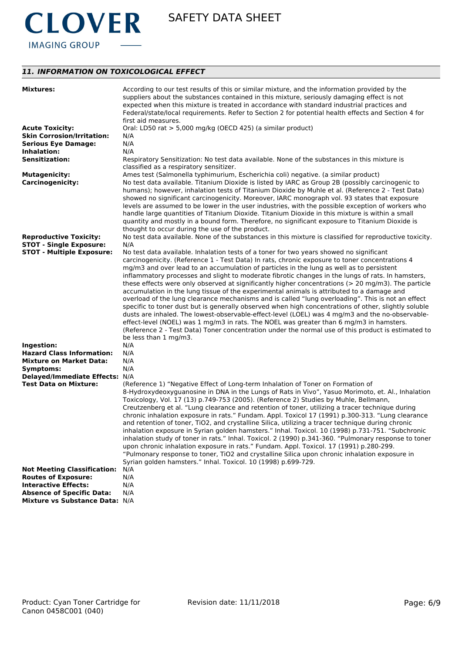

# *11. INFORMATION ON TOXICOLOGICAL EFFECT*

| <b>Mixtures:</b>                               | According to our test results of this or similar mixture, and the information provided by the<br>suppliers about the substances contained in this mixture, seriously damaging effect is not<br>expected when this mixture is treated in accordance with standard industrial practices and<br>Federal/state/local requirements. Refer to Section 2 for potential health effects and Section 4 for<br>first aid measures.                                                                                                                                                                                                                                                                                                                                                                                                                                                                                                                                                                                                                                                                                                                           |
|------------------------------------------------|---------------------------------------------------------------------------------------------------------------------------------------------------------------------------------------------------------------------------------------------------------------------------------------------------------------------------------------------------------------------------------------------------------------------------------------------------------------------------------------------------------------------------------------------------------------------------------------------------------------------------------------------------------------------------------------------------------------------------------------------------------------------------------------------------------------------------------------------------------------------------------------------------------------------------------------------------------------------------------------------------------------------------------------------------------------------------------------------------------------------------------------------------|
| <b>Acute Toxicity:</b>                         | Oral: LD50 rat > 5,000 mg/kg (OECD 425) (a similar product)                                                                                                                                                                                                                                                                                                                                                                                                                                                                                                                                                                                                                                                                                                                                                                                                                                                                                                                                                                                                                                                                                       |
| <b>Skin Corrosion/Irritation:</b>              | N/A                                                                                                                                                                                                                                                                                                                                                                                                                                                                                                                                                                                                                                                                                                                                                                                                                                                                                                                                                                                                                                                                                                                                               |
| <b>Serious Eye Damage:</b>                     | N/A                                                                                                                                                                                                                                                                                                                                                                                                                                                                                                                                                                                                                                                                                                                                                                                                                                                                                                                                                                                                                                                                                                                                               |
| Inhalation:                                    | N/A                                                                                                                                                                                                                                                                                                                                                                                                                                                                                                                                                                                                                                                                                                                                                                                                                                                                                                                                                                                                                                                                                                                                               |
| <b>Sensitization:</b>                          | Respiratory Sensitization: No test data available. None of the substances in this mixture is<br>classified as a respiratory sensitizer.                                                                                                                                                                                                                                                                                                                                                                                                                                                                                                                                                                                                                                                                                                                                                                                                                                                                                                                                                                                                           |
| <b>Mutagenicity:</b>                           | Ames test (Salmonella typhimurium, Escherichia coli) negative. (a similar product)                                                                                                                                                                                                                                                                                                                                                                                                                                                                                                                                                                                                                                                                                                                                                                                                                                                                                                                                                                                                                                                                |
| <b>Carcinogenicity:</b>                        | No test data available. Titanium Dioxide is listed by IARC as Group 2B (possibly carcinogenic to<br>humans); however, inhalation tests of Titanium Dioxide by Muhle et al. (Reference 2 - Test Data)<br>showed no significant carcinogenicity. Moreover, IARC monograph vol. 93 states that exposure<br>levels are assumed to be lower in the user industries, with the possible exception of workers who<br>handle large quantities of Titanium Dioxide. Titanium Dioxide in this mixture is within a small<br>quantity and mostly in a bound form. Therefore, no significant exposure to Titanium Dioxide is<br>thought to occur during the use of the product.                                                                                                                                                                                                                                                                                                                                                                                                                                                                                 |
| <b>Reproductive Toxicity:</b>                  | No test data available. None of the substances in this mixture is classified for reproductive toxicity.                                                                                                                                                                                                                                                                                                                                                                                                                                                                                                                                                                                                                                                                                                                                                                                                                                                                                                                                                                                                                                           |
| <b>STOT - Single Exposure:</b>                 | N/A                                                                                                                                                                                                                                                                                                                                                                                                                                                                                                                                                                                                                                                                                                                                                                                                                                                                                                                                                                                                                                                                                                                                               |
| <b>STOT - Multiple Exposure:</b><br>Ingestion: | No test data available. Inhalation tests of a toner for two years showed no significant<br>carcinogenicity. (Reference 1 - Test Data) In rats, chronic exposure to toner concentrations 4<br>mg/m3 and over lead to an accumulation of particles in the lung as well as to persistent<br>inflammatory processes and slight to moderate fibrotic changes in the lungs of rats. In hamsters,<br>these effects were only observed at significantly higher concentrations ( $>$ 20 mg/m3). The particle<br>accumulation in the lung tissue of the experimental animals is attributed to a damage and<br>overload of the lung clearance mechanisms and is called "lung overloading". This is not an effect<br>specific to toner dust but is generally observed when high concentrations of other, slightly soluble<br>dusts are inhaled. The lowest-observable-effect-level (LOEL) was 4 mg/m3 and the no-observable-<br>effect-level (NOEL) was 1 mg/m3 in rats. The NOEL was greater than 6 mg/m3 in hamsters.<br>(Reference 2 - Test Data) Toner concentration under the normal use of this product is estimated to<br>be less than 1 mg/m3.<br>N/A |
| <b>Hazard Class Information:</b>               | N/A                                                                                                                                                                                                                                                                                                                                                                                                                                                                                                                                                                                                                                                                                                                                                                                                                                                                                                                                                                                                                                                                                                                                               |
| <b>Mixture on Market Data:</b>                 | N/A                                                                                                                                                                                                                                                                                                                                                                                                                                                                                                                                                                                                                                                                                                                                                                                                                                                                                                                                                                                                                                                                                                                                               |
| Symptoms:                                      | N/A                                                                                                                                                                                                                                                                                                                                                                                                                                                                                                                                                                                                                                                                                                                                                                                                                                                                                                                                                                                                                                                                                                                                               |
| Delayed/Immediate Effects: N/A                 |                                                                                                                                                                                                                                                                                                                                                                                                                                                                                                                                                                                                                                                                                                                                                                                                                                                                                                                                                                                                                                                                                                                                                   |
| <b>Test Data on Mixture:</b>                   | (Reference 1) "Negative Effect of Long-term Inhalation of Toner on Formation of<br>8-Hydroxydeoxyguanosine in DNA in the Lungs of Rats in Vivo", Yasuo Morimoto, et. Al., Inhalation<br>Toxicology, Vol. 17 (13) p.749-753 (2005). (Reference 2) Studies by Muhle, Bellmann,<br>Creutzenberg et al. "Lung clearance and retention of toner, utilizing a tracer technique during<br>chronic inhalation exposure in rats." Fundam. Appl. Toxicol 17 (1991) p.300-313. "Lung clearance<br>and retention of toner, TiO2, and crystalline Silica, utilizing a tracer technique during chronic<br>inhalation exposure in Syrian golden hamsters." Inhal. Toxicol. 10 (1998) p.731-751. "Subchronic<br>inhalation study of toner in rats." Inhal. Toxicol. 2 (1990) p.341-360. "Pulmonary response to toner<br>upon chronic inhalation exposure in rats." Fundam. Appl. Toxicol. 17 (1991) p.280-299.<br>"Pulmonary response to toner, TiO2 and crystalline Silica upon chronic inhalation exposure in<br>Syrian golden hamsters." Inhal. Toxicol. 10 (1998) p.699-729.                                                                                  |
| <b>Not Meeting Classification:</b>             | N/A                                                                                                                                                                                                                                                                                                                                                                                                                                                                                                                                                                                                                                                                                                                                                                                                                                                                                                                                                                                                                                                                                                                                               |
| <b>Routes of Exposure:</b>                     | N/A                                                                                                                                                                                                                                                                                                                                                                                                                                                                                                                                                                                                                                                                                                                                                                                                                                                                                                                                                                                                                                                                                                                                               |
| <b>Interactive Effects:</b>                    | N/A                                                                                                                                                                                                                                                                                                                                                                                                                                                                                                                                                                                                                                                                                                                                                                                                                                                                                                                                                                                                                                                                                                                                               |
| <b>Absence of Specific Data:</b>               | N/A                                                                                                                                                                                                                                                                                                                                                                                                                                                                                                                                                                                                                                                                                                                                                                                                                                                                                                                                                                                                                                                                                                                                               |
| Mixture vs Substance Data: N/A                 |                                                                                                                                                                                                                                                                                                                                                                                                                                                                                                                                                                                                                                                                                                                                                                                                                                                                                                                                                                                                                                                                                                                                                   |
|                                                |                                                                                                                                                                                                                                                                                                                                                                                                                                                                                                                                                                                                                                                                                                                                                                                                                                                                                                                                                                                                                                                                                                                                                   |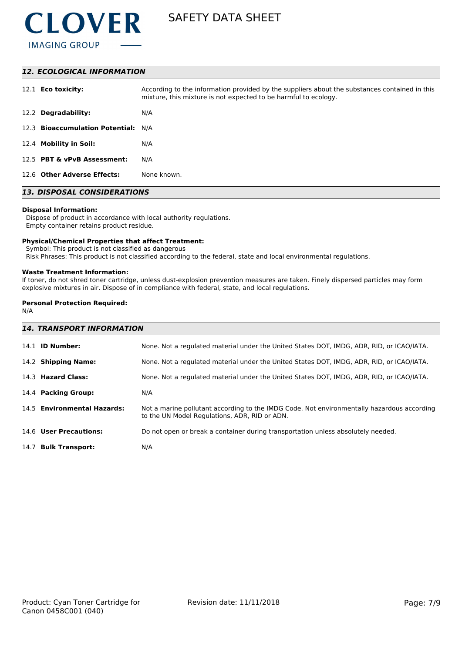

### *12. ECOLOGICAL INFORMATION*

| 12.1 <b>Eco toxicity:</b>           | According to the information provided by the suppliers about the substances contained in this<br>mixture, this mixture is not expected to be harmful to ecology. |
|-------------------------------------|------------------------------------------------------------------------------------------------------------------------------------------------------------------|
| 12.2 Degradability:                 | N/A                                                                                                                                                              |
| 12.3 Bioaccumulation Potential: N/A |                                                                                                                                                                  |
| 12.4 Mobility in Soil:              | N/A                                                                                                                                                              |
| 12.5 PBT & vPvB Assessment:         | N/A                                                                                                                                                              |
| 12.6 Other Adverse Effects:         | None known.                                                                                                                                                      |

# *13. DISPOSAL CONSIDERATIONS*

#### **Disposal Information:**

 Dispose of product in accordance with local authority regulations. Empty container retains product residue.

#### **Physical/Chemical Properties that affect Treatment:**

Symbol: This product is not classified as dangerous

Risk Phrases: This product is not classified according to the federal, state and local environmental regulations.

#### **Waste Treatment Information:**

If toner, do not shred toner cartridge, unless dust-explosion prevention measures are taken. Finely dispersed particles may form explosive mixtures in air. Dispose of in compliance with federal, state, and local regulations.

# **Personal Protection Required:**

N/A

| <b>14. TRANSPORT INFORMATION</b> |                                                                                                                                             |  |  |  |
|----------------------------------|---------------------------------------------------------------------------------------------------------------------------------------------|--|--|--|
| 14.1 <b>ID Number:</b>           | None. Not a regulated material under the United States DOT, IMDG, ADR, RID, or ICAO/IATA.                                                   |  |  |  |
| 14.2 Shipping Name:              | None. Not a regulated material under the United States DOT, IMDG, ADR, RID, or ICAO/IATA.                                                   |  |  |  |
| 14.3 Hazard Class:               | None. Not a regulated material under the United States DOT, IMDG, ADR, RID, or ICAO/IATA.                                                   |  |  |  |
| 14.4 Packing Group:              | N/A                                                                                                                                         |  |  |  |
| 14.5 Environmental Hazards:      | Not a marine pollutant according to the IMDG Code. Not environmentally hazardous according<br>to the UN Model Regulations, ADR, RID or ADN. |  |  |  |
| 14.6 User Precautions:           | Do not open or break a container during transportation unless absolutely needed.                                                            |  |  |  |
| 14.7 Bulk Transport:             | N/A                                                                                                                                         |  |  |  |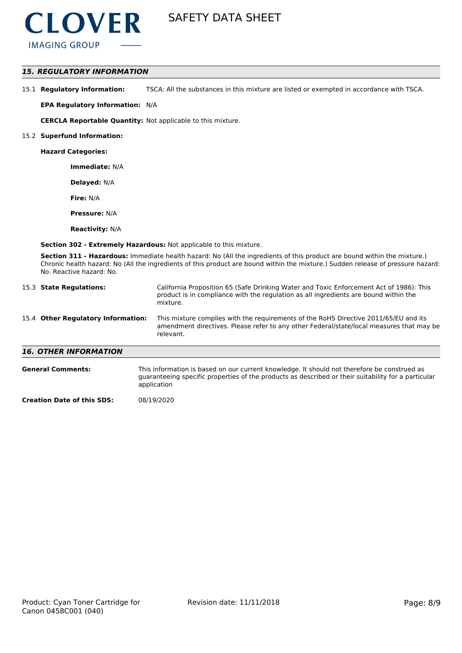

### *15. REGULATORY INFORMATION*

15.1 **Regulatory Information:** TSCA: All the substances in this mixture are listed or exempted in accordance with TSCA.

**EPA Regulatory Information:** N/A

**CERCLA Reportable Quantity:** Not applicable to this mixture.

#### 15.2 **Superfund Information:**

**Hazard Categories:**

**Immediate:** N/A

**Delayed:** N/A

**Fire:** N/A

**Pressure:** N/A

**Reactivity:** N/A

**Section 302 - Extremely Hazardous:** Not applicable to this mixture.

**Section 311 - Hazardous:** Immediate health hazard: No (All the ingredients of this product are bound within the mixture.) Chronic health hazard: No (All the ingredients of this product are bound within the mixture.) Sudden release of pressure hazard: No. Reactive hazard: No.

| 15.3 State Regulations:            | California Proposition 65 (Safe Drinking Water and Toxic Enforcement Act of 1986): This<br>product is in compliance with the regulation as all ingredients are bound within the<br>mixture.   |
|------------------------------------|-----------------------------------------------------------------------------------------------------------------------------------------------------------------------------------------------|
| 15.4 Other Regulatory Information: | This mixture complies with the requirements of the RoHS Directive 2011/65/EU and its<br>amendment directives. Please refer to any other Federal/state/local measures that may be<br>relevant. |
| <b>16. OTHER INFORMATION</b>       |                                                                                                                                                                                               |
| <b>General Comments:</b>           | This information is based on our current knowledge. It should not therefore be construed as                                                                                                   |

| erar comments. | THIS IMPORTATION IS DASED ON OUR CUTTENT KNOWIEDGE. IT SHOULD NOT THEREFORE DE CONSTITUED AS        |
|----------------|-----------------------------------------------------------------------------------------------------|
|                | quaranteeing specific properties of the products as described or their suitability for a particular |
|                | application                                                                                         |

**Creation Date of this SDS:** 08/19/2020